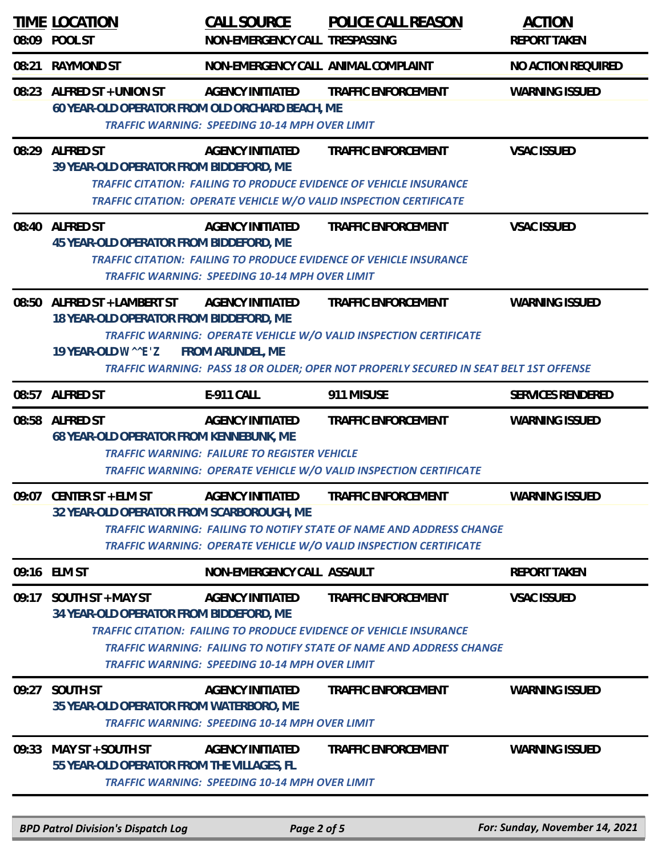| 08:09 | TIME LOCATION<br>POOL ST                                                                                                                                                                                                                                                                                                                          | <u>CALL SOURCE</u><br>NON-EMERGENCY CALL TRESPASSING                                                                                                                                                             | POLICE CALL REASON         | <b>ACTION</b><br><b>REPORT TAKEN</b> |  |
|-------|---------------------------------------------------------------------------------------------------------------------------------------------------------------------------------------------------------------------------------------------------------------------------------------------------------------------------------------------------|------------------------------------------------------------------------------------------------------------------------------------------------------------------------------------------------------------------|----------------------------|--------------------------------------|--|
| 08:21 | <b>RAYMOND ST</b>                                                                                                                                                                                                                                                                                                                                 | NON-EMERGENCY CALL ANIMAL COMPLAINT                                                                                                                                                                              |                            | NO ACTION REQUIRED                   |  |
|       | 08:23 ALFRED ST + UNION ST                                                                                                                                                                                                                                                                                                                        | AGENCY INITIATED<br>60 YEAR-OLD OPERATOR FROM OLD ORCHARD BEACH, ME<br><b>TRAFFIC WARNING: SPEEDING 10-14 MPH OVER LIMIT</b>                                                                                     | TRAFFIC ENFORCEMENT        | <b>WARNING ISSUED</b>                |  |
|       | 08:29 ALFRED ST                                                                                                                                                                                                                                                                                                                                   | AGENCY INITIATED<br>39 YEAR-OLD OPERATOR FROM BIDDEFORD, ME<br><b>TRAFFIC CITATION: FAILING TO PRODUCE EVIDENCE OF VEHICLE INSURANCE</b><br>TRAFFIC CITATION: OPERATE VEHICLE W/O VALID INSPECTION CERTIFICATE   | TRAFFIC ENFORCEMENT        | <b>VSAC ISSUED</b>                   |  |
|       | 08:40 ALFRED ST                                                                                                                                                                                                                                                                                                                                   | AGENCY INITIATED<br>45 YEAR-OLD OPERATOR FROM BIDDEFORD, ME<br><b>TRAFFIC CITATION: FAILING TO PRODUCE EVIDENCE OF VEHICLE INSURANCE</b><br><b>TRAFFIC WARNING: SPEEDING 10-14 MPH OVER LIMIT</b>                | TRAFFIC ENFORCEMENT        | <b>VSAC ISSUED</b>                   |  |
| 08:50 | ALFRED ST + LAMBERT ST AGENCY INITIATED<br>TRAFFIC ENFORCEMENT<br><b>WARNING ISSUED</b><br>18 YEAR-OLD OPERATOR FROM BIDDEFORD, ME<br>TRAFFIC WARNING: OPERATE VEHICLE W/O VALID INSPECTION CERTIFICATE<br>FROM ARUNDEL, ME<br>19 YEAR-OLD WEZ<br>TRAFFIC WARNING: PASS 18 OR OLDER; OPER NOT PROPERLY SECURED IN SEAT BELT 1ST OFFENSE           |                                                                                                                                                                                                                  |                            |                                      |  |
| 08:57 | <b>ALFRED ST</b>                                                                                                                                                                                                                                                                                                                                  | E-911 CALL                                                                                                                                                                                                       | 911 MISUSE                 | SERVICES RENDERED                    |  |
| 08:58 | <b>ALFRED ST</b>                                                                                                                                                                                                                                                                                                                                  | <b>AGENCY INITIATED</b><br>68 YEAR-OLD OPERATOR FROM KENNEBUNK, ME<br><b>TRAFFIC WARNING: FAILURE TO REGISTER VEHICLE</b><br>TRAFFIC WARNING: OPERATE VEHICLE W/O VALID INSPECTION CERTIFICATE                   | TRAFFIC ENFORCEMENT        | WARNING ISSUED                       |  |
|       | 09:07 CENTER ST + ELM ST                                                                                                                                                                                                                                                                                                                          | AGENCY INITIATED<br>32 YEAR-OLD OPERATOR FROM SCARBOROUGH, ME<br><b>TRAFFIC WARNING: FAILING TO NOTIFY STATE OF NAME AND ADDRESS CHANGE</b><br>TRAFFIC WARNING: OPERATE VEHICLE W/O VALID INSPECTION CERTIFICATE | TRAFFIC ENFORCEMENT        | <b>WARNING ISSUED</b>                |  |
|       | 09:16 ELM ST                                                                                                                                                                                                                                                                                                                                      | NON-EMERGENCY CALL ASSAULT                                                                                                                                                                                       |                            | <b>REPORT TAKEN</b>                  |  |
| 09:17 | <b>VSAC ISSUED</b><br>SOUTH ST + MAY ST<br>AGENCY INITIATED<br><b>TRAFFIC ENFORCEMENT</b><br>34 YEAR-OLD OPERATOR FROM BIDDEFORD, ME<br><b>TRAFFIC CITATION: FAILING TO PRODUCE EVIDENCE OF VEHICLE INSURANCE</b><br>TRAFFIC WARNING: FAILING TO NOTIFY STATE OF NAME AND ADDRESS CHANGE<br><b>TRAFFIC WARNING: SPEEDING 10-14 MPH OVER LIMIT</b> |                                                                                                                                                                                                                  |                            |                                      |  |
| 09:27 | SOUTH ST                                                                                                                                                                                                                                                                                                                                          | <b>AGENCY INITIATED</b><br>35 YEAR-OLD OPERATOR FROM WATERBORO, ME<br><b>TRAFFIC WARNING: SPEEDING 10-14 MPH OVER LIMIT</b>                                                                                      | TRAFFIC ENFORCEMENT        | <b>WARNING ISSUED</b>                |  |
| 09:33 | MAY ST + SOUTH ST                                                                                                                                                                                                                                                                                                                                 | <b>AGENCY INITIATED</b><br>55 YEAR-OLD OPERATOR FROM THE VILLAGES, FL<br><b>TRAFFIC WARNING: SPEEDING 10-14 MPH OVER LIMIT</b>                                                                                   | <b>TRAFFIC ENFORCEMENT</b> | WARNING ISSUED                       |  |
|       | <b>BPD Patrol Division's Dispatch Log</b>                                                                                                                                                                                                                                                                                                         | Page 2 of 5                                                                                                                                                                                                      |                            | For: Sunday, November 14, 2021       |  |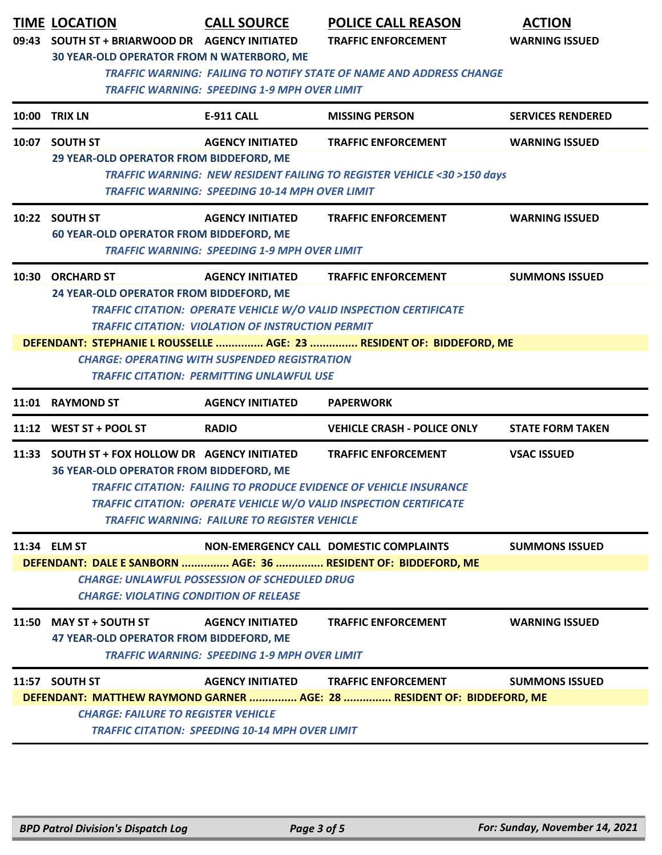|       | <b>TIME LOCATION</b><br>09:43 SOUTH ST + BRIARWOOD DR AGENCY INITIATED                                                                                                                                                                                                                                                                                                                                                                                                      | <b>CALL SOURCE</b>                                                                | <b>POLICE CALL REASON</b><br><b>TRAFFIC ENFORCEMENT</b>                                                                                                                              | <b>ACTION</b><br><b>WARNING ISSUED</b> |  |  |
|-------|-----------------------------------------------------------------------------------------------------------------------------------------------------------------------------------------------------------------------------------------------------------------------------------------------------------------------------------------------------------------------------------------------------------------------------------------------------------------------------|-----------------------------------------------------------------------------------|--------------------------------------------------------------------------------------------------------------------------------------------------------------------------------------|----------------------------------------|--|--|
|       | 30 YEAR-OLD OPERATOR FROM N WATERBORO, ME<br><b>TRAFFIC WARNING: FAILING TO NOTIFY STATE OF NAME AND ADDRESS CHANGE</b><br><b>TRAFFIC WARNING: SPEEDING 1-9 MPH OVER LIMIT</b>                                                                                                                                                                                                                                                                                              |                                                                                   |                                                                                                                                                                                      |                                        |  |  |
| 10:00 | <b>TRIX LN</b>                                                                                                                                                                                                                                                                                                                                                                                                                                                              | <b>E-911 CALL</b>                                                                 | <b>MISSING PERSON</b>                                                                                                                                                                | <b>SERVICES RENDERED</b>               |  |  |
|       | 10:07 SOUTH ST<br>29 YEAR-OLD OPERATOR FROM BIDDEFORD, ME                                                                                                                                                                                                                                                                                                                                                                                                                   | <b>AGENCY INITIATED</b><br><b>TRAFFIC WARNING: SPEEDING 10-14 MPH OVER LIMIT</b>  | <b>TRAFFIC ENFORCEMENT</b><br><b>TRAFFIC WARNING: NEW RESIDENT FAILING TO REGISTER VEHICLE &lt;30 &gt;150 days</b>                                                                   | <b>WARNING ISSUED</b>                  |  |  |
|       | 10:22 SOUTH ST<br>60 YEAR-OLD OPERATOR FROM BIDDEFORD, ME                                                                                                                                                                                                                                                                                                                                                                                                                   | <b>AGENCY INITIATED</b><br><b>TRAFFIC WARNING: SPEEDING 1-9 MPH OVER LIMIT</b>    | <b>TRAFFIC ENFORCEMENT</b>                                                                                                                                                           | <b>WARNING ISSUED</b>                  |  |  |
|       | 10:30 ORCHARD ST<br><b>AGENCY INITIATED</b><br><b>TRAFFIC ENFORCEMENT</b><br><b>SUMMONS ISSUED</b><br>24 YEAR-OLD OPERATOR FROM BIDDEFORD, ME<br><b>TRAFFIC CITATION: OPERATE VEHICLE W/O VALID INSPECTION CERTIFICATE</b><br><b>TRAFFIC CITATION: VIOLATION OF INSTRUCTION PERMIT</b><br>DEFENDANT: STEPHANIE L ROUSSELLE  AGE: 23  RESIDENT OF: BIDDEFORD, ME<br><b>CHARGE: OPERATING WITH SUSPENDED REGISTRATION</b><br><b>TRAFFIC CITATION: PERMITTING UNLAWFUL USE</b> |                                                                                   |                                                                                                                                                                                      |                                        |  |  |
|       | 11:01 RAYMOND ST                                                                                                                                                                                                                                                                                                                                                                                                                                                            | <b>AGENCY INITIATED</b>                                                           | <b>PAPERWORK</b>                                                                                                                                                                     |                                        |  |  |
|       | 11:12 WEST ST + POOL ST                                                                                                                                                                                                                                                                                                                                                                                                                                                     | <b>RADIO</b>                                                                      | <b>VEHICLE CRASH - POLICE ONLY</b>                                                                                                                                                   | <b>STATE FORM TAKEN</b>                |  |  |
|       | 11:33 SOUTH ST + FOX HOLLOW DR AGENCY INITIATED<br>36 YEAR-OLD OPERATOR FROM BIDDEFORD, ME                                                                                                                                                                                                                                                                                                                                                                                  | <b>TRAFFIC WARNING: FAILURE TO REGISTER VEHICLE</b>                               | <b>TRAFFIC ENFORCEMENT</b><br><b>TRAFFIC CITATION: FAILING TO PRODUCE EVIDENCE OF VEHICLE INSURANCE</b><br><b>TRAFFIC CITATION: OPERATE VEHICLE W/O VALID INSPECTION CERTIFICATE</b> | <b>VSAC ISSUED</b>                     |  |  |
|       | 11:34 ELM ST<br><b>CHARGE: VIOLATING CONDITION OF RELEASE</b>                                                                                                                                                                                                                                                                                                                                                                                                               | <b>CHARGE: UNLAWFUL POSSESSION OF SCHEDULED DRUG</b>                              | NON-EMERGENCY CALL DOMESTIC COMPLAINTS<br>DEFENDANT: DALE E SANBORN  AGE: 36  RESIDENT OF: BIDDEFORD, ME                                                                             | <b>SUMMONS ISSUED</b>                  |  |  |
|       | 11:50 MAY ST + SOUTH ST<br>47 YEAR-OLD OPERATOR FROM BIDDEFORD, ME                                                                                                                                                                                                                                                                                                                                                                                                          | <b>AGENCY INITIATED</b><br><b>TRAFFIC WARNING: SPEEDING 1-9 MPH OVER LIMIT</b>    | <b>TRAFFIC ENFORCEMENT</b>                                                                                                                                                           | <b>WARNING ISSUED</b>                  |  |  |
|       | 11:57 SOUTH ST<br><b>CHARGE: FAILURE TO REGISTER VEHICLE</b>                                                                                                                                                                                                                                                                                                                                                                                                                | <b>AGENCY INITIATED</b><br><b>TRAFFIC CITATION: SPEEDING 10-14 MPH OVER LIMIT</b> | <b>TRAFFIC ENFORCEMENT</b><br>DEFENDANT: MATTHEW RAYMOND GARNER  AGE: 28  RESIDENT OF: BIDDEFORD, ME                                                                                 | <b>SUMMONS ISSUED</b>                  |  |  |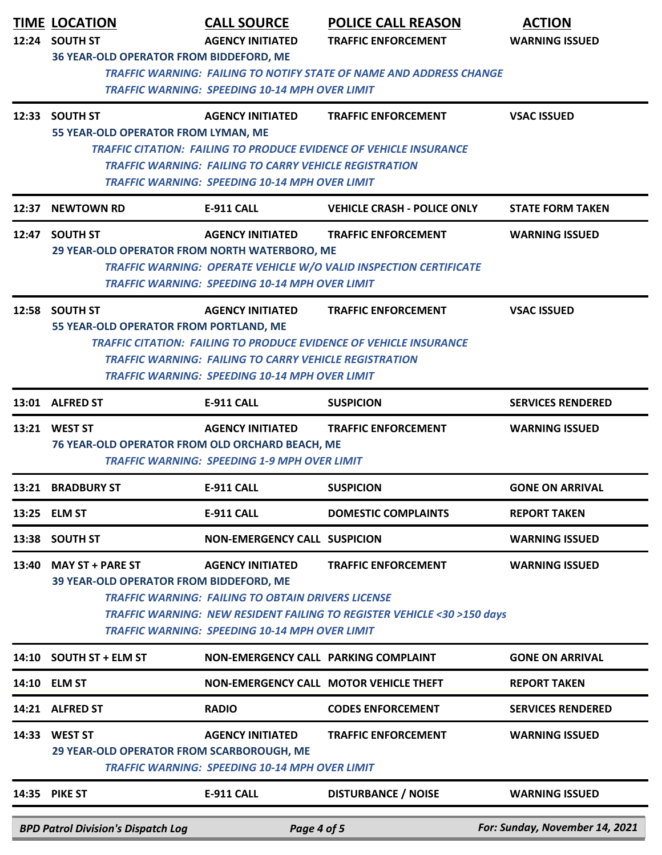|       | <b>TIME LOCATION</b><br>12:24 SOUTH ST                                                                                                            | <b>CALL SOURCE</b><br><b>AGENCY INITIATED</b>                 | <b>POLICE CALL REASON</b><br><b>TRAFFIC ENFORCEMENT</b>                   | <b>ACTION</b><br><b>WARNING ISSUED</b> |  |  |
|-------|---------------------------------------------------------------------------------------------------------------------------------------------------|---------------------------------------------------------------|---------------------------------------------------------------------------|----------------------------------------|--|--|
|       | 36 YEAR-OLD OPERATOR FROM BIDDEFORD, ME                                                                                                           |                                                               |                                                                           |                                        |  |  |
|       | <b>TRAFFIC WARNING: FAILING TO NOTIFY STATE OF NAME AND ADDRESS CHANGE</b>                                                                        |                                                               |                                                                           |                                        |  |  |
|       | <b>TRAFFIC WARNING: SPEEDING 10-14 MPH OVER LIMIT</b>                                                                                             |                                                               |                                                                           |                                        |  |  |
|       | 12:33 SOUTH ST                                                                                                                                    | <b>AGENCY INITIATED</b>                                       | <b>TRAFFIC ENFORCEMENT</b>                                                | <b>VSAC ISSUED</b>                     |  |  |
|       | 55 YEAR-OLD OPERATOR FROM LYMAN, ME                                                                                                               |                                                               |                                                                           |                                        |  |  |
|       |                                                                                                                                                   |                                                               | <b>TRAFFIC CITATION: FAILING TO PRODUCE EVIDENCE OF VEHICLE INSURANCE</b> |                                        |  |  |
|       | <b>TRAFFIC WARNING: FAILING TO CARRY VEHICLE REGISTRATION</b>                                                                                     |                                                               |                                                                           |                                        |  |  |
|       | <b>TRAFFIC WARNING: SPEEDING 10-14 MPH OVER LIMIT</b>                                                                                             |                                                               |                                                                           |                                        |  |  |
| 12:37 | <b>NEWTOWN RD</b>                                                                                                                                 | <b>E-911 CALL</b>                                             | <b>VEHICLE CRASH - POLICE ONLY</b>                                        | <b>STATE FORM TAKEN</b>                |  |  |
| 12:47 | <b>SOUTH ST</b>                                                                                                                                   | <b>AGENCY INITIATED</b>                                       | <b>TRAFFIC ENFORCEMENT</b>                                                | <b>WARNING ISSUED</b>                  |  |  |
|       | 29 YEAR-OLD OPERATOR FROM NORTH WATERBORO, ME                                                                                                     |                                                               |                                                                           |                                        |  |  |
|       |                                                                                                                                                   |                                                               | TRAFFIC WARNING: OPERATE VEHICLE W/O VALID INSPECTION CERTIFICATE         |                                        |  |  |
|       |                                                                                                                                                   | <b>TRAFFIC WARNING: SPEEDING 10-14 MPH OVER LIMIT</b>         |                                                                           |                                        |  |  |
|       | 12:58 SOUTH ST                                                                                                                                    | <b>AGENCY INITIATED</b>                                       | <b>TRAFFIC ENFORCEMENT</b>                                                | <b>VSAC ISSUED</b>                     |  |  |
|       | 55 YEAR-OLD OPERATOR FROM PORTLAND, ME                                                                                                            |                                                               |                                                                           |                                        |  |  |
|       |                                                                                                                                                   | <b>TRAFFIC WARNING: FAILING TO CARRY VEHICLE REGISTRATION</b> | <b>TRAFFIC CITATION: FAILING TO PRODUCE EVIDENCE OF VEHICLE INSURANCE</b> |                                        |  |  |
|       |                                                                                                                                                   | <b>TRAFFIC WARNING: SPEEDING 10-14 MPH OVER LIMIT</b>         |                                                                           |                                        |  |  |
|       | 13:01 ALFRED ST                                                                                                                                   | <b>E-911 CALL</b>                                             | <b>SUSPICION</b>                                                          | <b>SERVICES RENDERED</b>               |  |  |
|       |                                                                                                                                                   |                                                               |                                                                           |                                        |  |  |
|       | 13:21 WEST ST                                                                                                                                     | <b>AGENCY INITIATED</b>                                       | <b>TRAFFIC ENFORCEMENT</b>                                                | <b>WARNING ISSUED</b>                  |  |  |
|       | 76 YEAR-OLD OPERATOR FROM OLD ORCHARD BEACH, ME                                                                                                   | <b>TRAFFIC WARNING: SPEEDING 1-9 MPH OVER LIMIT</b>           |                                                                           |                                        |  |  |
|       |                                                                                                                                                   |                                                               |                                                                           |                                        |  |  |
|       | 13:21 BRADBURY ST                                                                                                                                 | <b>E-911 CALL</b>                                             | <b>SUSPICION</b>                                                          | <b>GONE ON ARRIVAL</b>                 |  |  |
| 13:25 | <b>ELM ST</b>                                                                                                                                     | <b>E-911 CALL</b>                                             | <b>DOMESTIC COMPLAINTS</b>                                                | <b>REPORT TAKEN</b>                    |  |  |
| 13:38 | <b>SOUTH ST</b>                                                                                                                                   | <b>NON-EMERGENCY CALL SUSPICION</b>                           |                                                                           | <b>WARNING ISSUED</b>                  |  |  |
| 13:40 | <b>MAY ST + PARE ST</b>                                                                                                                           | <b>AGENCY INITIATED</b>                                       | <b>TRAFFIC ENFORCEMENT</b>                                                | <b>WARNING ISSUED</b>                  |  |  |
|       | 39 YEAR-OLD OPERATOR FROM BIDDEFORD, ME                                                                                                           |                                                               |                                                                           |                                        |  |  |
|       | <b>TRAFFIC WARNING: FAILING TO OBTAIN DRIVERS LICENSE</b><br><b>TRAFFIC WARNING: NEW RESIDENT FAILING TO REGISTER VEHICLE &lt;30 &gt;150 days</b> |                                                               |                                                                           |                                        |  |  |
|       | <b>TRAFFIC WARNING: SPEEDING 10-14 MPH OVER LIMIT</b>                                                                                             |                                                               |                                                                           |                                        |  |  |
|       |                                                                                                                                                   |                                                               |                                                                           |                                        |  |  |
| 14:10 | <b>SOUTH ST + ELM ST</b>                                                                                                                          | NON-EMERGENCY CALL PARKING COMPLAINT                          |                                                                           | <b>GONE ON ARRIVAL</b>                 |  |  |
| 14:10 | <b>ELM ST</b>                                                                                                                                     |                                                               | NON-EMERGENCY CALL MOTOR VEHICLE THEFT                                    | <b>REPORT TAKEN</b>                    |  |  |
| 14:21 | <b>ALFRED ST</b>                                                                                                                                  | <b>RADIO</b>                                                  | <b>CODES ENFORCEMENT</b>                                                  | <b>SERVICES RENDERED</b>               |  |  |
| 14:33 | <b>WEST ST</b>                                                                                                                                    | <b>AGENCY INITIATED</b>                                       | <b>TRAFFIC ENFORCEMENT</b>                                                | <b>WARNING ISSUED</b>                  |  |  |
|       | 29 YEAR-OLD OPERATOR FROM SCARBOROUGH, ME<br><b>TRAFFIC WARNING: SPEEDING 10-14 MPH OVER LIMIT</b>                                                |                                                               |                                                                           |                                        |  |  |
|       | 14:35 PIKE ST                                                                                                                                     | E-911 CALL                                                    | <b>DISTURBANCE / NOISE</b>                                                | <b>WARNING ISSUED</b>                  |  |  |
|       |                                                                                                                                                   |                                                               |                                                                           |                                        |  |  |
|       | <b>BPD Patrol Division's Dispatch Log</b>                                                                                                         | Page 4 of 5                                                   |                                                                           | For: Sunday, November 14, 2021         |  |  |